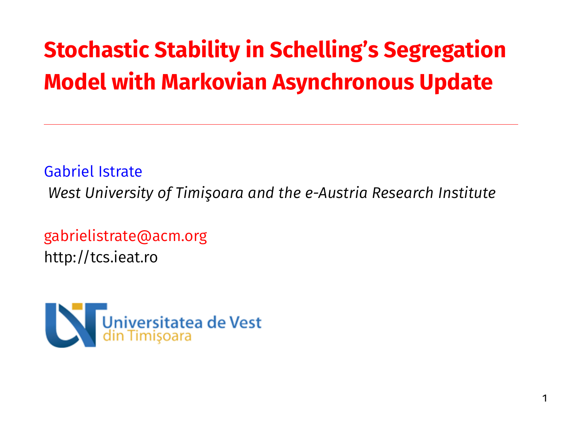# **Stochastic Stability in Schelling's Segregation Model with Markovian Asynchronous Update**

Gabriel Istrate

*West University of Timişoara and the e-Austria Research Institute*

gabrielistrate@acm.org http://tcs.ieat.ro

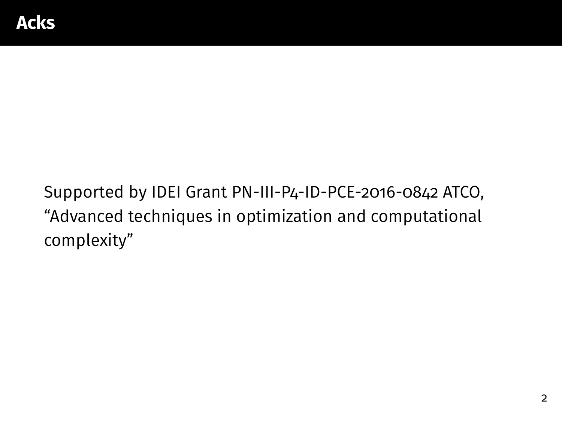Supported by IDEI Grant PN-III-P4-ID-PCE-2016-0842 ATCO, "Advanced techniques in optimization and computational complexity"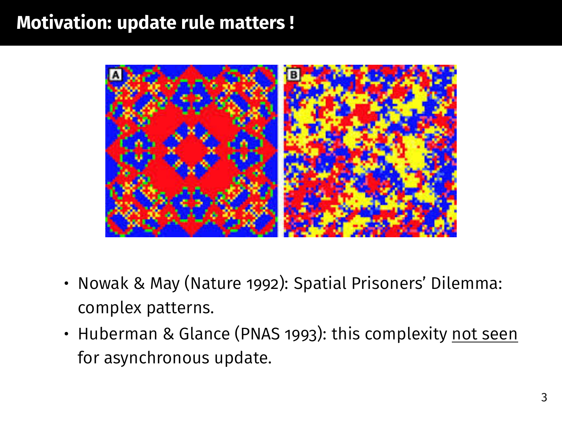### **Motivation: update rule matters !**



- Nowak & May (Nature 1992): Spatial Prisoners' Dilemma: complex patterns.
- Huberman & Glance (PNAS 1993): this complexity not seen for asynchronous update.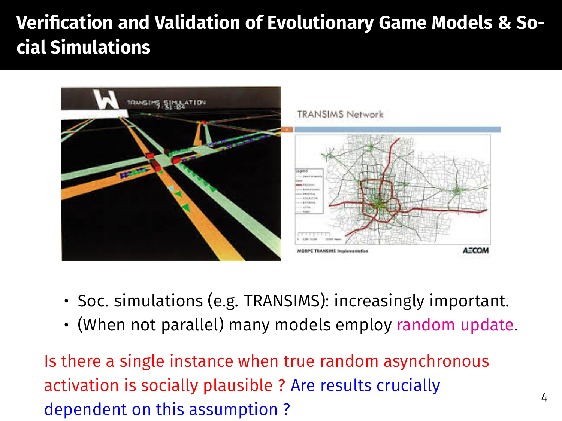# Verification and Validation of Evolutionary Game Models & So**cial Simulations**



- Soc. simulations (e.g. TRANSIMS): increasingly important.
- (When not parallel) many models employ random update.

Is there a single instance when true random asynchronous activation is socially plausible ? Are results crucially dependent on this assumption ?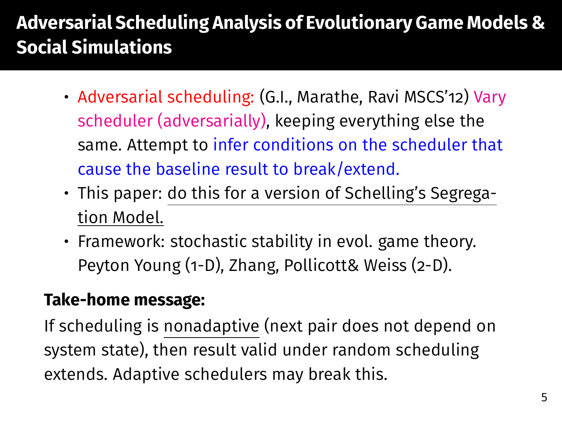# **Adversarial Scheduling Analysis of Evolutionary Game Models & Social Simulations**

- Adversarial scheduling: (G.I., Marathe, Ravi MSCS'12) Vary scheduler (adversarially), keeping everything else the same. Attempt to infer conditions on the scheduler that cause the baseline result to break/extend.
- This paper: do this for a version of Schelling's Segregation Model.
- Framework: stochastic stability in evol. game theory. Peyton Young (1-D), Zhang, Pollicott& Weiss (2-D).

#### **Take-home message:**

If scheduling is nonadaptive (next pair does not depend on system state), then result valid under random scheduling extends. Adaptive schedulers may break this.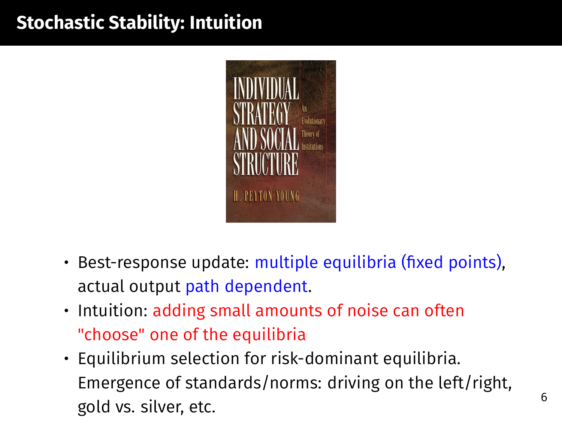# **Stochastic Stability: Intuition**



- $\cdot$  Best-response update: multiple equilibria (fixed points), actual output path dependent.
- Intuition: adding small amounts of noise can often "choose" one of the equilibria
- Equilibrium selection for risk-dominant equilibria. Emergence of standards/norms: driving on the left/right, gold vs. silver, etc. 6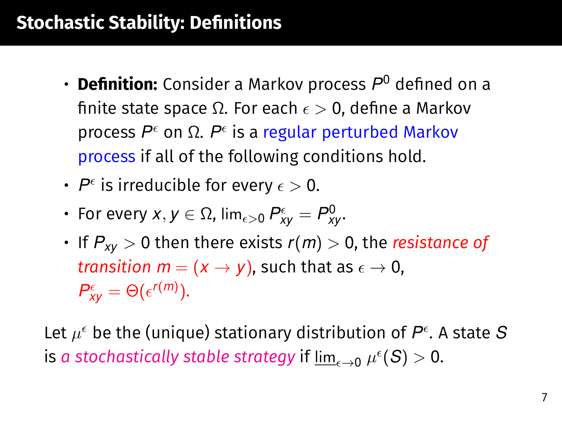### **Stochastic Stability: Definitions**

- **Definition:** Consider a Markov process  $P^0$  defined on a finite state space Ω. For each  $\epsilon > 0$ , define a Markov process P<sup>ε</sup> on Ω. P<sup>ε</sup> is a regular perturbed Markov process if all of the following conditions hold.
- $\boldsymbol{\cdot}$   $\boldsymbol{\it P}^{\epsilon}$  is irreducible for every  $\epsilon > 0.$
- For every  $x,y\in\Omega$ ,  $\lim_{\epsilon>0}P_{xy}^\epsilon=P_{xy}^0.$
- If  $P_{xy} > 0$  then there exists  $r(m) > 0$ , the *resistance of transition*  $m = (x \rightarrow y)$ , such that as  $\epsilon \rightarrow 0$ ,  $P_{xy}^{\epsilon} = \Theta(\epsilon^{r(m)})$ .

Let  $\mu^{\epsilon}$  be the (unique) stationary distribution of  $P^{\epsilon}$ . A state  $S$ is a stochastically stable strategy if  $\varliminf_{\epsilon \to 0} \mu^{\epsilon}(S) > 0.$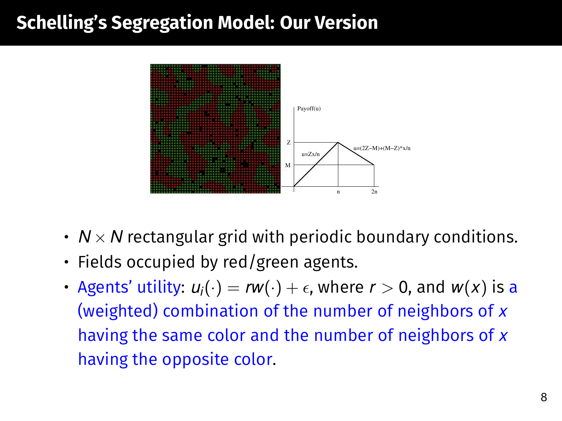### **Schelling's Segregation Model: Our Version**



- $\cdot$   $N \times N$  rectangular grid with periodic boundary conditions.
- Fields occupied by red/green agents.
- Agents' utility:  $u_i(\cdot) = rw(\cdot) + \epsilon$ , where  $r > 0$ , and  $w(x)$  is a (weighted) combination of the number of neighbors of *x* having the same color and the number of neighbors of *x* having the opposite color.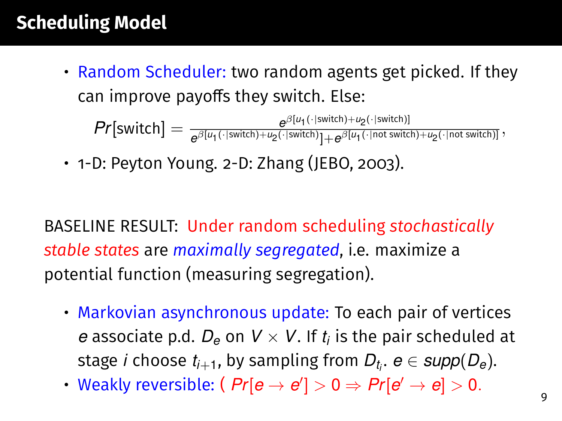# **Scheduling Model**

• Random Scheduler: two random agents get picked. If they can improve payoffs they switch. Else:

 $Pr[\text{switch}] = \frac{e^{\beta[u_1(\cdot|\text{switch})+u_2(\cdot|\text{switch})}]}{e^{\beta[u_1(\cdot|\text{switch})+u_2(\cdot|\text{switch})} \cdot e^{\beta[u_1(\cdot|\text{not switch})]}}$  $e^{\beta \cdot [u_1(\cdot) \text{sinich}) + u_2(\cdot \text{sinich}) + u_2(\cdot \text{sinich}) + u_2(\cdot \text{not switch}) + u_2(\cdot \text{not switch})}$ 

• 1-D: Peyton Young. 2-D: Zhang (JEBO, 2003).

BASELINE RESULT: Under random scheduling *stochastically stable states* are *maximally segregated*, i.e. maximize a potential function (measuring segregation).

- Markovian asynchronous update: To each pair of vertices *e* associate p.d.  $D_e$  on  $V \times V$ . If  $t_i$  is the pair scheduled at stage *i* choose *ti*+1, by sampling from *Dt<sup>i</sup>* . *e* ∈ *supp*(*De*).
- Weakly reversible: (  $Pr[e \rightarrow e'] > 0 \Rightarrow Pr[e' \rightarrow e] > 0$ .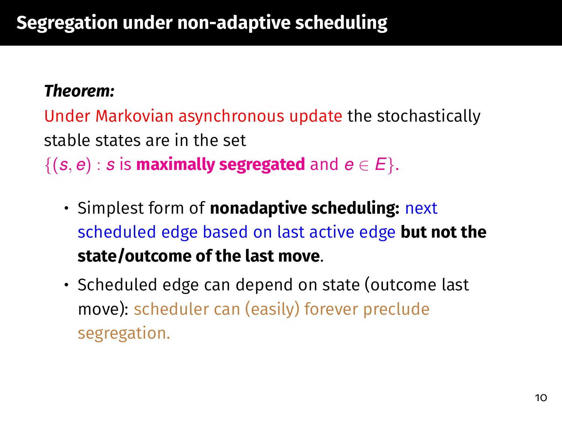#### *Theorem:*

Under Markovian asynchronous update the stochastically stable states are in the set  $\{(s, e) : s \text{ is maximally segregated and } e \in E\}.$ 

- Simplest form of **nonadaptive scheduling:** next scheduled edge based on last active edge **but not the state/outcome of the last move**.
- Scheduled edge can depend on state (outcome last move): scheduler can (easily) forever preclude segregation.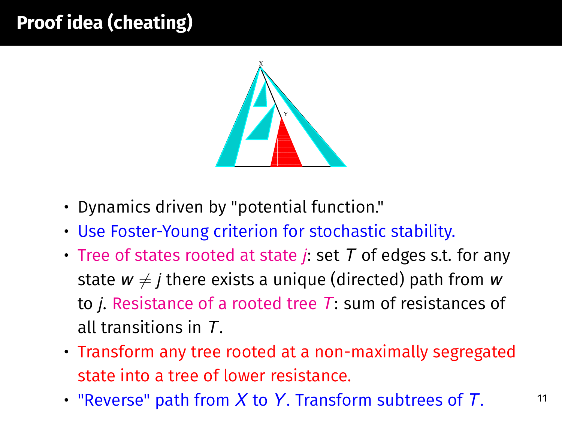# **Proof idea (cheating)**



- Dynamics driven by "potential function."
- Use Foster-Young criterion for stochastic stability.
- Tree of states rooted at state *j*: set *T* of edges s.t. for any state  $w \neq j$  there exists a unique (directed) path from *w* to *j*. Resistance of a rooted tree *T*: sum of resistances of all transitions in *T*.
- Transform any tree rooted at a non-maximally segregated state into a tree of lower resistance.
- "Reverse" path from *X* to *Y*. Transform subtrees of *T*.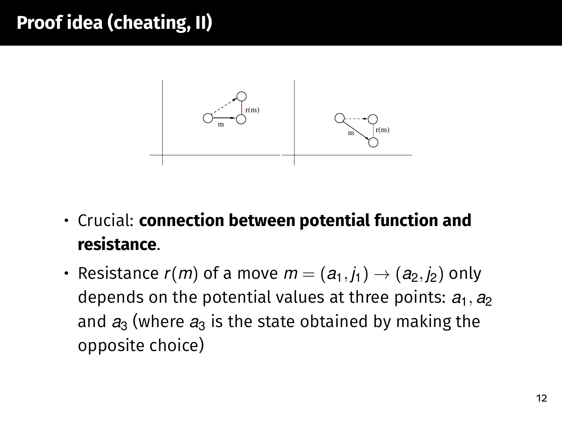# **Proof idea (cheating, II)**



- Crucial: **connection between potential function and resistance**.
- Resistance  $r(m)$  of a move  $m = (a_1, j_1) \rightarrow (a_2, j_2)$  only depends on the potential values at three points:  $a_1$ ,  $a_2$ and  $a_3$  (where  $a_3$  is the state obtained by making the opposite choice)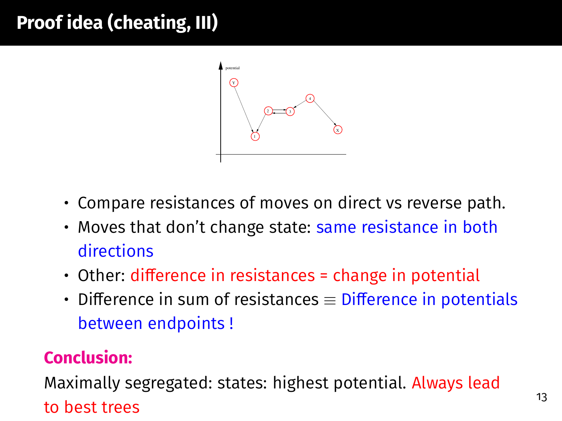# **Proof idea (cheating, III)**



- Compare resistances of moves on direct vs reverse path.
- Moves that don't change state: same resistance in both directions
- $\cdot$  Other: difference in resistances = change in potential
- Difference in sum of resistances  $\equiv$  Difference in potentials between endpoints !

#### **Conclusion:**

Maximally segregated: states: highest potential. Always lead to best trees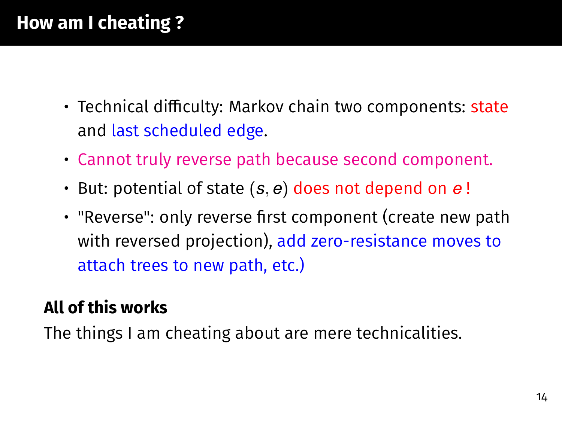# **How am I cheating ?**

- Technical difficulty: Markov chain two components: state and last scheduled edge.
- Cannot truly reverse path because second component.
- But: potential of state (*s*, *e*) does not depend on *e* !
- "Reverse": only reverse first component (create new path with reversed projection), add zero-resistance moves to attach trees to new path, etc.)

### **All of this works**

The things I am cheating about are mere technicalities.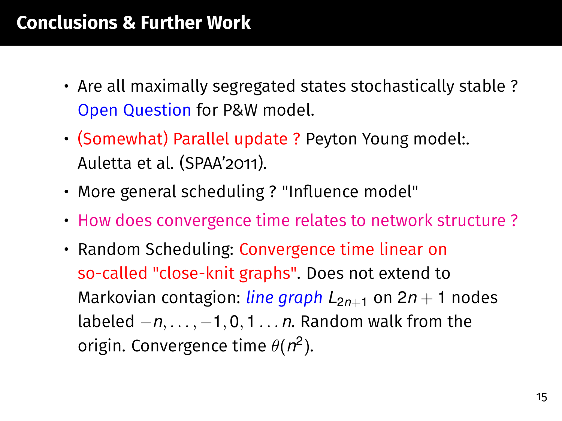### **Conclusions & Further Work**

- Are all maximally segregated states stochastically stable ? Open Question for P&W model.
- (Somewhat) Parallel update ? Peyton Young model:. Auletta et al. (SPAA'2011).
- More general scheduling ? "Influence model"
- How does convergence time relates to network structure ?
- Random Scheduling: Convergence time linear on so-called "close-knit graphs". Does not extend to Markovian contagion: *line graph*  $L_{2n+1}$  on  $2n+1$  nodes labeled −*n*, . . . , −1, 0, 1 . . . *n*. Random walk from the origin. Convergence time  $\theta(n^2)$ .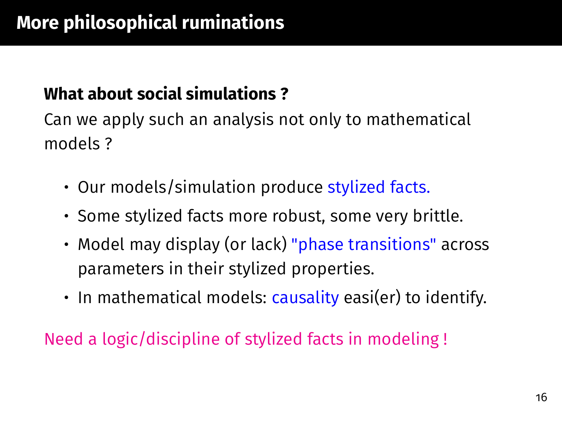#### **What about social simulations ?**

Can we apply such an analysis not only to mathematical models ?

- Our models/simulation produce stylized facts.
- Some stylized facts more robust, some very brittle.
- Model may display (or lack) "phase transitions" across parameters in their stylized properties.
- In mathematical models: causality easi(er) to identify.

Need a logic/discipline of stylized facts in modeling !